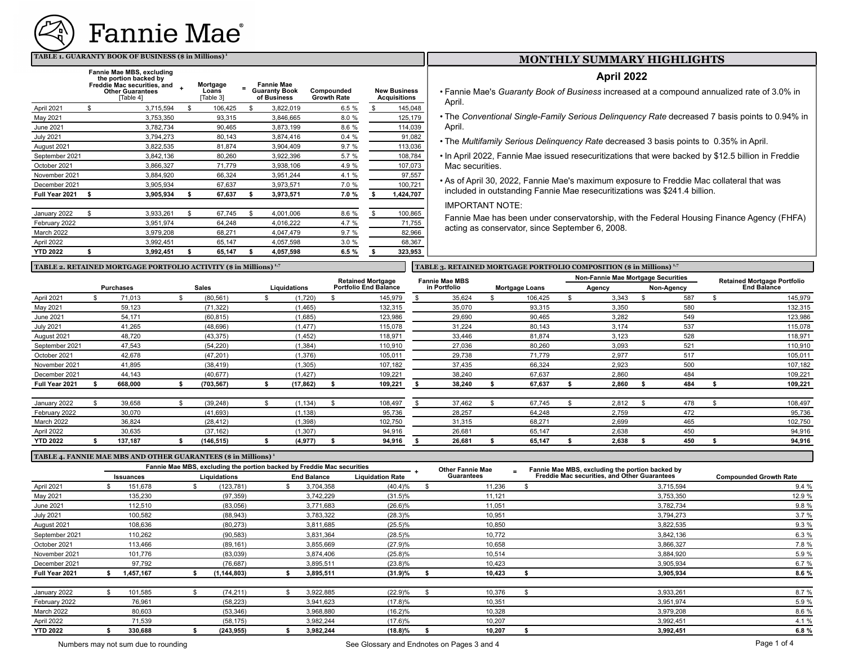

#### **TABLE 1. GUARANTY BOOK OF BUSINESS (\$ in Millions)<sup>1</sup>**

|                  | Fannie Mae MBS, excluding<br>the portion backed by<br>Freddie Mac securities, and<br><b>Other Guarantees</b><br>[Table 4] | Mortgage<br>Loans<br>Table 31 | <b>Fannie Mae</b><br><b>Guaranty Book</b><br>of Business | Compounded<br><b>Growth Rate</b> | <b>New Business</b><br><b>Acquisitions</b> |
|------------------|---------------------------------------------------------------------------------------------------------------------------|-------------------------------|----------------------------------------------------------|----------------------------------|--------------------------------------------|
| April 2021       | \$<br>3,715,594                                                                                                           | \$<br>106.425                 | \$<br>3,822,019                                          | 6.5 %                            | \$<br>145,048                              |
| May 2021         | 3,753,350                                                                                                                 | 93,315                        | 3,846,665                                                | 8.0 %                            | 125,179                                    |
| June 2021        | 3,782,734                                                                                                                 | 90.465                        | 3,873,199                                                | 8.6 %                            | 114,039                                    |
| <b>July 2021</b> | 3,794,273                                                                                                                 | 80,143                        | 3,874,416                                                | 0.4%                             | 91,082                                     |
| August 2021      | 3,822,535                                                                                                                 | 81,874                        | 3,904,409                                                | 9.7%                             | 113,036                                    |
| September 2021   | 3,842,136                                                                                                                 | 80,260                        | 3,922,396                                                | 5.7 %                            | 108,784                                    |
| October 2021     | 3,866,327                                                                                                                 | 71,779                        | 3,938,106                                                | 4.9%                             | 107,073                                    |
| November 2021    | 3,884,920                                                                                                                 | 66.324                        | 3,951,244                                                | 4.1 %                            | 97,557                                     |
| December 2021    | 3.905.934                                                                                                                 | 67.637                        | 3,973,571                                                | 7.0 %                            | 100,721                                    |
| Full Year 2021   | \$<br>3,905,934                                                                                                           | \$<br>67,637                  | \$<br>3,973,571                                          | 7.0%                             | \$<br>1,424,707                            |
| January 2022     | \$<br>3,933,261                                                                                                           | \$<br>67,745                  | \$<br>4,001,006                                          | 8.6 %                            | \$<br>100,865                              |
| February 2022    | 3,951,974                                                                                                                 | 64,248                        | 4,016,222                                                | 4.7 %                            | 71,755                                     |
| March 2022       | 3,979,208                                                                                                                 | 68,271                        | 4,047,479                                                | 9.7%                             | 82,966                                     |
| April 2022       | 3,992,451                                                                                                                 | 65,147                        | 4,057,598                                                | 3.0%                             | 68,367                                     |
| <b>YTD 2022</b>  | \$<br>3,992,451                                                                                                           | \$<br>65,147                  | \$<br>4,057,598                                          | 6.5 %                            | \$<br>323,953                              |

# **MONTHLY SUMMARY HIGHLIGHTS**

# **April 2022**

- Fannie Mae's *Guaranty Book of Business* increased at a compound annualized rate of 3.0% in April.
- The *Conventional Single-Family Serious Delinquency Rate* decreased 7 basis points to 0.94% in April.
- The *Multifamily Serious Delinquency Rate* decreased 3 basis points to 0.35% in April.
- In April 2022, Fannie Mae issued resecuritizations that were backed by \$12.5 billion in Freddie Mac securities.
- As of April 30, 2022, Fannie Mae's maximum exposure to Freddie Mac collateral that was included in outstanding Fannie Mae resecuritizations was \$241.4 billion.

#### IMPORTANT NOTE:

Fannie Mae has been under conservatorship, with the Federal Housing Finance Agency (FHFA) acting as conservator, since September 6, 2008.

### TABLE 2. RETAINED MORTGAGE PORTFOLIO ACTIVITY (\$ in Millions) <sup>1,7</sup> **TABLE 3. RETAINED MORTGAGE PORTFOLIO COMPOSITION (\$ in Millions) <sup>1,7</sup>**

|                  |                  |            |              | <b>Retained Mortgage</b>     | <b>Fannie Mae MBS</b> |                       | Non-Fannie Mae Mortgage Securities |  |            |  | <b>Retained Mortgage Portfolio</b> |
|------------------|------------------|------------|--------------|------------------------------|-----------------------|-----------------------|------------------------------------|--|------------|--|------------------------------------|
|                  | <b>Purchases</b> | Sales      | Liquidations | <b>Portfolio End Balance</b> | in Portfolio          | <b>Mortgage Loans</b> | Agency                             |  | Non-Agency |  | <b>End Balance</b>                 |
| April 2021       | 71,013           | (80, 561)  | (1,720)      | 145,979                      | 35,624                | 106,425               | 3,343                              |  | 587        |  | 145,979                            |
| May 2021         | 59,123           | (71, 322)  | (1, 465)     | 132,315                      | 35,070                | 93,315                | 3,350                              |  | 580        |  | 132,315                            |
| <b>June 2021</b> | 54,171           | (60, 815)  | (1,685)      | 123,986                      | 29,690                | 90,465                | 3,282                              |  | 549        |  | 123,986                            |
| <b>July 2021</b> | 41,265           | (48, 696)  | (1, 477)     | 115,078                      | 31,224                | 80,143                | 3,174                              |  | 537        |  | 115,078                            |
| August 2021      | 48,720           | (43, 375)  | (1, 452)     | 118,971                      | 33,446                | 81,874                | 3,123                              |  | 528        |  | 118,971                            |
| September 2021   | 47,543           | (54, 220)  | (1, 384)     | 110,910                      | 27,036                | 80,260                | 3,093                              |  | 521        |  | 110,910                            |
| October 2021     | 42,678           | (47, 201)  | (1,376)      | 105,011                      | 29,738                | 71,779                | 2,977                              |  | 517        |  | 105,011                            |
| November 2021    | 41,895           | (38, 419)  | (1, 305)     | 107,182                      | 37,435                | 66,324                | 2.923                              |  | 500        |  | 107,182                            |
| December 2021    | 44,143           | (40, 677)  | (1, 427)     | 109,221                      | 38,240                | 67,637                | 2.860                              |  | 484        |  | 109,221                            |
| Full Year 2021   | 668,000          | (703, 567) | (17, 862)    | 109,221                      | 38,240                | 67,637                | 2,860                              |  | 484        |  | 109,221                            |
|                  |                  |            |              |                              |                       |                       |                                    |  |            |  |                                    |
| January 2022     | 39,658           | (39, 248)  | (1, 134)     | 108,497                      | 37,462                | 67,745                | 2,812                              |  | 478        |  | 108,497                            |
| February 2022    | 30,070           | (41, 693)  | (1, 138)     | 95,736                       | 28,257                | 64,248                | 2,759                              |  | 472        |  | 95,736                             |
| March 2022       | 36,824           | (28, 412)  | (1, 398)     | 102,750                      | 31,315                | 68,271                | 2,699                              |  | 465        |  | 102,750                            |
| April 2022       | 30,635           | (37, 162)  | (1, 307)     | 94,916                       | 26,681                | 65,147                | 2.638                              |  | 450        |  | 94,916                             |
| <b>YTD 2022</b>  | 137,187          | (146,515)  | (4, 977)     | 94,916                       | 26,681                | 65,147                | 2,638                              |  | 450        |  | 94,916                             |

#### **TABLE 4. FANNIE MAE MBS AND OTHER GUARANTEES (\$ in Millions) <sup>1</sup>**

|                  | Fannie Mae MBS, excluding the portion backed by Freddie Mac securities |                  |  |              |  |                    |                         | <b>Other Fannie Mae</b> |  | Fannie Mae MBS, excluding the portion backed by     |                               |  |
|------------------|------------------------------------------------------------------------|------------------|--|--------------|--|--------------------|-------------------------|-------------------------|--|-----------------------------------------------------|-------------------------------|--|
|                  |                                                                        | <b>Issuances</b> |  | Liquidations |  | <b>End Balance</b> | <b>Liquidation Rate</b> | Guarantees              |  | <b>Freddie Mac securities, and Other Guarantees</b> | <b>Compounded Growth Rate</b> |  |
| April 2021       |                                                                        | 151,678          |  | (123, 781)   |  | 3,704,358          | $(40.4)\%$              | 11,236                  |  | 3,715,594                                           | 9.4%                          |  |
| May 2021         |                                                                        | 135,230          |  | (97, 359)    |  | 3,742,229          | $(31.5)\%$              | 11,121                  |  | 3,753,350                                           | 12.9 %                        |  |
| June 2021        |                                                                        | 112,510          |  | (83,056)     |  | 3,771,683          | $(26.6)\%$              | 11,051                  |  | 3,782,734                                           | 9.8%                          |  |
| <b>July 2021</b> |                                                                        | 100,582          |  | (88, 943)    |  | 3,783,322          | $(28.3)\%$              | 10,951                  |  | 3.794.273                                           | 3.7%                          |  |
| August 2021      |                                                                        | 108,636          |  | (80, 273)    |  | 3,811,685          | $(25.5)\%$              | 10,850                  |  | 3,822,535                                           | 9.3%                          |  |
| September 2021   |                                                                        | 110,262          |  | (90, 583)    |  | 3,831,364          | $(28.5)\%$              | 10,772                  |  | 3,842,136                                           | 6.3%                          |  |
| October 2021     |                                                                        | 113,466          |  | (89, 161)    |  | 3,855,669          | (27.9)%                 | 10,658                  |  | 3,866,327                                           | 7.8 %                         |  |
| November 2021    |                                                                        | 101.776          |  | (83,039)     |  | 3,874,406          | $(25.8)\%$              | 10,514                  |  | 3,884,920                                           | 5.9 %                         |  |
| December 2021    |                                                                        | 97,792           |  | (76, 687)    |  | 3,895,511          | $(23.8)\%$              | 10,423                  |  | 3,905,934                                           | 6.7%                          |  |
| Full Year 2021   |                                                                        | 1,457,167        |  | (1,144,803)  |  | 3,895,511          | (31.9)%                 | 10,423                  |  | 3,905,934                                           | 8.6%                          |  |
| January 2022     |                                                                        | 101,585          |  | (74, 211)    |  | 3,922,885          | $(22.9)\%$              | 10,376                  |  | 3,933,261                                           | 8.7%                          |  |
| February 2022    |                                                                        | 76,961           |  | (58, 223)    |  | 3,941,623          | $(17.8)\%$              | 10,351                  |  | 3,951,974                                           | 5.9 %                         |  |
| March 2022       |                                                                        | 80,603           |  | (53, 346)    |  | 3,968,880          | $(16.2)\%$              | 10,328                  |  | 3,979,208                                           | 8.6%                          |  |
| April 2022       |                                                                        | 71.539           |  | (58, 175)    |  | 3,982,244          | $(17.6)\%$              | 10,207                  |  | 3,992,451                                           | 4.1 %                         |  |
| <b>YTD 2022</b>  |                                                                        | 330.688          |  | (243, 955)   |  | 3,982,244          | $(18.8)\%$              | 10,207                  |  | 3,992,451                                           | 6.8%                          |  |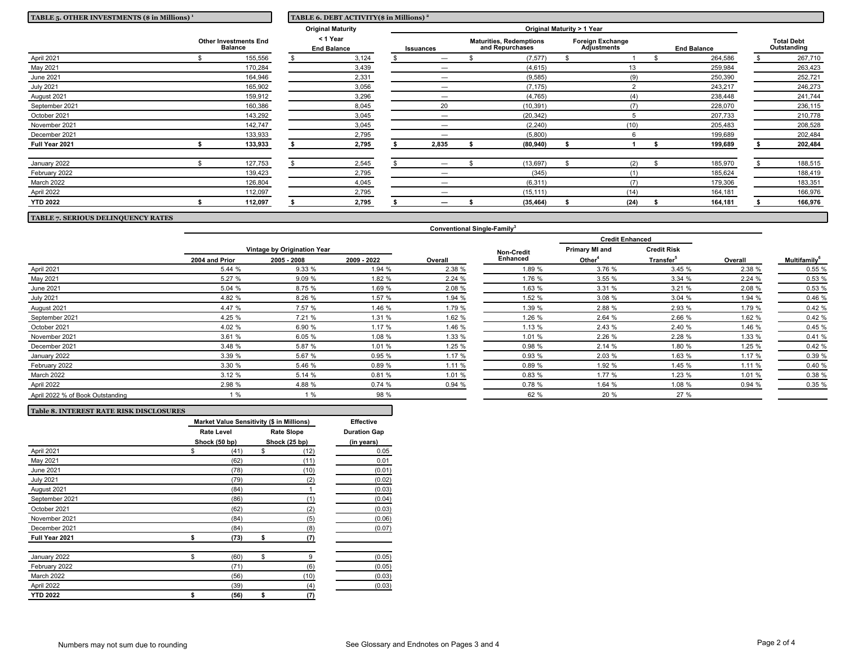| TABLE 5. OTHER INVESTMENTS (\$ in Millions) <sup>1</sup>                                       |  | TABLE 6. DEBT ACTIVITY(\$ in Millions) <sup>2</sup> |  |                                |  |                                |                                                   |           |                                               |      |  |                    |                                  |         |
|------------------------------------------------------------------------------------------------|--|-----------------------------------------------------|--|--------------------------------|--|--------------------------------|---------------------------------------------------|-----------|-----------------------------------------------|------|--|--------------------|----------------------------------|---------|
|                                                                                                |  | <b>Original Maturity</b>                            |  | Original Maturity > 1 Year     |  |                                |                                                   |           |                                               |      |  |                    |                                  |         |
|                                                                                                |  | <b>Other Investments End</b><br><b>Balance</b>      |  | < 1 Year<br><b>End Balance</b> |  | Issuances                      | <b>Maturities, Redemptions</b><br>and Repurchases |           | <b>Foreign Exchange</b><br><b>Adjustments</b> |      |  | <b>End Balance</b> | <b>Total Debt</b><br>Outstanding |         |
| April 2021                                                                                     |  | 155,556                                             |  | 3,124                          |  | $\overline{\phantom{m}}$       |                                                   | (7, 577)  |                                               |      |  | 264,586            |                                  | 267,710 |
| May 2021                                                                                       |  | 170,284                                             |  | 3,439                          |  | —                              |                                                   | (4,615)   |                                               | 13   |  | 259,984            |                                  | 263,423 |
| <b>June 2021</b>                                                                               |  | 164,946                                             |  | 2,331                          |  | $\overline{\phantom{m}}$       |                                                   | (9,585)   |                                               | (9)  |  | 250,390            |                                  | 252,721 |
| <b>July 2021</b>                                                                               |  | 165,902                                             |  | 3,056                          |  | -                              |                                                   | (7, 175)  |                                               |      |  | 243,217            |                                  | 246,273 |
| August 2021                                                                                    |  | 159,912                                             |  | 3,296                          |  |                                |                                                   | (4,765)   |                                               | (4)  |  | 238,448            |                                  | 241,744 |
| September 2021                                                                                 |  | 160,386                                             |  | 8,045                          |  | 20                             |                                                   | (10, 391) |                                               | (7)  |  | 228,070            |                                  | 236,115 |
| October 2021                                                                                   |  | 143,292                                             |  | 3,045                          |  |                                |                                                   | (20, 342) |                                               |      |  | 207,733            |                                  | 210,778 |
| November 2021                                                                                  |  | 142,747                                             |  | 3,045                          |  | -                              |                                                   | (2, 240)  |                                               | (10) |  | 205,483            |                                  | 208,528 |
| December 2021                                                                                  |  | 133,933                                             |  | 2,795                          |  |                                |                                                   | (5,800)   |                                               |      |  | 199,689            |                                  | 202,484 |
| Full Year 2021                                                                                 |  | 133,933                                             |  | 2,795                          |  | 2,835                          |                                                   | (80, 940) |                                               |      |  | 199,689            |                                  | 202,484 |
| January 2022                                                                                   |  | 127,753                                             |  | 2,545                          |  | $\qquad \qquad \longleftarrow$ |                                                   | (13, 697) |                                               | (2)  |  | 185,970            |                                  | 188,515 |
| February 2022                                                                                  |  | 139,423                                             |  | 2,795                          |  |                                |                                                   | (345)     |                                               | (1)  |  | 185,624            |                                  | 188,419 |
| March 2022                                                                                     |  | 126,804                                             |  | 4,045                          |  | $\overline{\phantom{m}}$       |                                                   | (6, 311)  |                                               | (7)  |  | 179,306            |                                  | 183,351 |
| April 2022                                                                                     |  | 112,097                                             |  | 2,795                          |  | —                              |                                                   | (15, 111) |                                               | (14) |  | 164,181            |                                  | 166,976 |
| <b>YTD 2022</b>                                                                                |  | 112,097                                             |  | 2,795                          |  |                                |                                                   | (35, 464) |                                               | (24) |  | 164,181            |                                  | 166,976 |
| $m \cdot m \cdot n  m \cdot m \cdot m \cdot m \cdot m \cdot m \cdot m \cdot n \cdot m \cdot n$ |  |                                                     |  |                                |  |                                |                                                   |           |                                               |      |  |                    |                                  |         |

# **TABLE 7. SERIOUS DELINQUENCY RATES**

**Table 8. INTEREST RATE RISK DISCLOSURES**

|                                  |                |                             |        |         |                   | <b>Credit Enhanced</b> |                       |         |                          |
|----------------------------------|----------------|-----------------------------|--------|---------|-------------------|------------------------|-----------------------|---------|--------------------------|
|                                  |                | Vintage by Origination Year |        |         | <b>Non-Credit</b> | <b>Primary MI and</b>  | <b>Credit Risk</b>    |         |                          |
|                                  | 2004 and Prior | 2005 - 2008<br>2009 - 2022  |        | Overall | <b>Enhanced</b>   | Other <sup>4</sup>     | Transfer <sup>5</sup> | Overall | Multifamily <sup>6</sup> |
| April 2021                       | 5.44 %         | 9.33%                       | 1.94 % | 2.38 %  | 1.89 %            | 3.76 %                 | 3.45 %                | 2.38 %  | 0.55 %                   |
| May 2021                         | 5.27 %         | 9.09%                       | 1.82 % | 2.24 %  | 1.76 %            | 3.55 %                 | 3.34%                 | 2.24 %  | 0.53 %                   |
| June 2021                        | 5.04 %         | 8.75 %                      | 1.69 % | 2.08 %  | 1.63 %            | 3.31 %                 | 3.21%                 | 2.08 %  | 0.53 %                   |
| <b>July 2021</b>                 | 4.82 %         | 8.26 %                      | 1.57 % | 1.94 %  | 1.52 %            | 3.08 %                 | 3.04%                 | 1.94 %  | 0.46 %                   |
| August 2021                      | 4.47 %         | 7.57 %                      | 1.46 % | 1.79 %  | 1.39 %            | 2.88 %                 | 2.93 %                | 1.79 %  | 0.42 %                   |
| September 2021                   | 4.25 %         | 7.21 %                      | 1.31 % | 1.62 %  | 1.26 %            | 2.64 %                 | 2.66 %                | 1.62 %  | 0.42%                    |
| October 2021                     | 4.02 %         | 6.90 %                      | 1.17 % | 1.46 %  | 1.13 %            | 2.43 %                 | 2.40 %                | 1.46 %  | 0.45 %                   |
| November 2021                    | 3.61 %         | 6.05%                       | 1.08 % | 1.33 %  | 1.01 %            | 2.26 %                 | 2.28 %                | 1.33 %  | 0.41%                    |
| December 2021                    | 3.48 %         | 5.87 %                      | 1.01 % | 1.25 %  | 0.98 %            | 2.14%                  | 1.80 %                | 1.25 %  | 0.42 %                   |
| January 2022                     | 3.39 %         | 5.67 %                      | 0.95 % | 1.17 %  | 0.93%             | 2.03 %                 | 1.63 %                | 1.17 %  | 0.39 %                   |
| February 2022                    | 3.30 %         | 5.46 %                      | 0.89%  | 1.11 %  | 0.89%             | 1.92 %                 | 1.45%                 | 1.11%   | 0.40%                    |
| March 2022                       | 3.12%          | 5.14 %                      | 0.81%  | 1.01 %  | 0.83%             | 1.77 %                 | 1.23 %                | 1.01 %  | 0.38 %                   |
| April 2022                       | 2.98 %         | 4.88 %                      | 0.74%  | 0.94%   | 0.78%             | 1.64 %                 | 1.08 %                | 0.94 %  | 0.35 %                   |
| April 2022 % of Book Outstanding | 1%             | 1%                          | 98 %   |         | 62 %              | 20 %                   | 27 %                  |         |                          |

**Conventional Single-Family<sup>3</sup>**

| Table 8. INTEREST RATE RISK DISCLOSURES |                                           |                   |                   |                     |
|-----------------------------------------|-------------------------------------------|-------------------|-------------------|---------------------|
|                                         | Market Value Sensitivity (\$ in Millions) | <b>Effective</b>  |                   |                     |
|                                         |                                           | <b>Rate Level</b> | <b>Rate Slope</b> | <b>Duration Gap</b> |
|                                         | Shock (50 bp)                             | Shock (25 bp)     | (in years)        |                     |
| April 2021                              | \$                                        | (41)              | \$<br>(12)        | 0.05                |
| May 2021                                |                                           | (62)              | (11)              | 0.01                |
| <b>June 2021</b>                        |                                           | (78)              | (10)              | (0.01)              |
| <b>July 2021</b>                        |                                           | (79)              | (2)               | (0.02)              |
| August 2021                             |                                           | (84)              |                   | (0.03)              |
| September 2021                          |                                           | (86)              | (1)               | (0.04)              |
| October 2021                            |                                           | (62)              | (2)               | (0.03)              |
| November 2021                           |                                           | (84)              | (5)               | (0.06)              |
| December 2021                           |                                           | (84)              | (8)               | (0.07)              |
| Full Year 2021                          | \$                                        | (73)              | \$<br>(7)         |                     |
| January 2022                            | \$                                        | (60)              | \$<br>9           | (0.05)              |
| February 2022                           |                                           | (71)              | (6)               | (0.05)              |
| March 2022                              |                                           | (56)              | (10)              | (0.03)              |
| April 2022                              |                                           | (39)              | (4)               | (0.03)              |
| <b>YTD 2022</b>                         | \$                                        | (56)              | \$<br>(7)         |                     |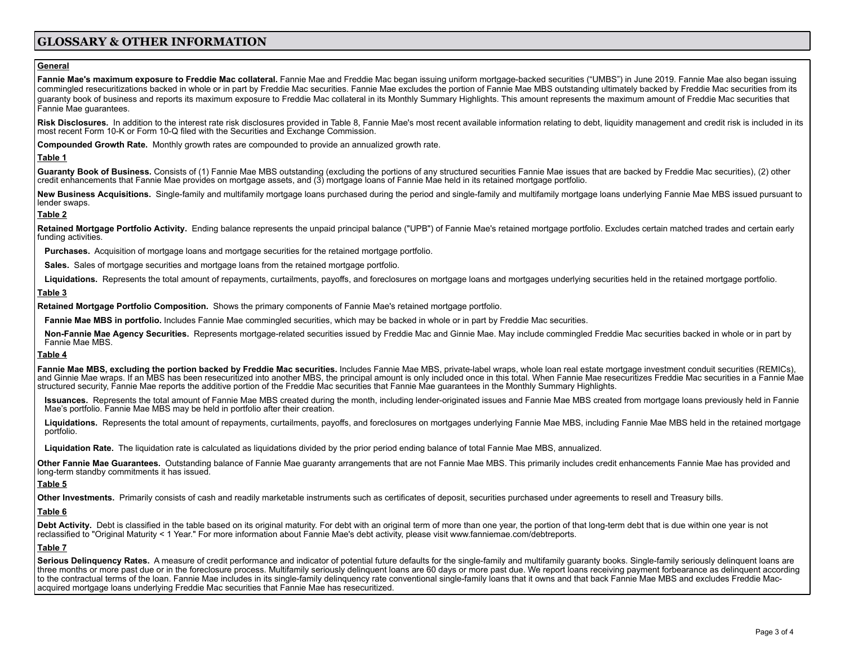# **GLOSSARY & OTHER INFORMATION**

# **General**

Fannie Mae's maximum exposure to Freddie Mac collateral. Fannie Mae and Freddie Mac began issuing uniform mortgage-backed securities ("UMBS") in June 2019. Fannie Mae also began issuing commingled resecuritizations backed in whole or in part by Freddie Mac securities. Fannie Mae excludes the portion of Fannie Mae MBS outstanding ultimately backed by Freddie Mac securities from its guaranty book of business and reports its maximum exposure to Freddie Mac collateral in its Monthly Summary Highlights. This amount represents the maximum amount of Freddie Mac securities that Fannie Mae guarantees.

Risk Disclosures. In addition to the interest rate risk disclosures provided in Table 8, Fannie Mae's most recent available information relating to debt, liquidity management and credit risk is included in its most recent Form 10-K or Form 10-Q filed with the Securities and Exchange Commission.

**Compounded Growth Rate.** Monthly growth rates are compounded to provide an annualized growth rate.

## **Table 1**

Guaranty Book of Business. Consists of (1) Fannie Mae MBS outstanding (excluding the portions of any structured securities Fannie Mae issues that are backed by Freddie Mac securities). (2) other credit enhancements that Fannie Mae provides on mortgage assets, and (3) mortgage loans of Fannie Mae held in its retained mortgage portfolio.

New Business Acquisitions. Single-family and multifamily mortgage loans purchased during the period and single-family and multifamily mortgage loans underlying Fannie Mae MBS issued pursuant to lender swaps.

# **Table 2**

Retained Mortgage Portfolio Activity. Ending balance represents the unpaid principal balance ("UPB") of Fannie Mae's retained mortgage portfolio. Excludes certain matched trades and certain early funding activities.

**Purchases.** Acquisition of mortgage loans and mortgage securities for the retained mortgage portfolio.

**Sales.** Sales of mortgage securities and mortgage loans from the retained mortgage portfolio.

Liquidations. Represents the total amount of repayments, curtailments, payoffs, and foreclosures on mortgage loans and mortgages underlying securities held in the retained mortgage portfolio.

### **Table 3**

**Retained Mortgage Portfolio Composition.** Shows the primary components of Fannie Mae's retained mortgage portfolio.

**Fannie Mae MBS in portfolio.** Includes Fannie Mae commingled securities, which may be backed in whole or in part by Freddie Mac securities.

Non-Fannie Mae Agency Securities. Represents mortgage-related securities issued by Freddie Mac and Ginnie Mae. May include commingled Freddie Mac securities backed in whole or in part by Fannie Mae MBS.

### **Table 4**

Fannie Mae MBS, excluding the portion backed by Freddie Mac securities. Includes Fannie Mae MBS, private-label wraps, whole loan real estate mortgage investment conduit securities (REMICs),<br>and Ginnie Mae wraps. If an MBS structured security, Fannie Mae reports the additive portion of the Freddie Mac securities that Fannie Mae guarantees in the Monthly Summary Highlights.

Issuances. Represents the total amount of Fannie Mae MBS created during the month, including lender-originated issues and Fannie Mae MBS created from mortgage loans previously held in Fannie Mae's portfolio. Fannie Mae MBS may be held in portfolio after their creation.

Liquidations. Represents the total amount of repayments, curtailments, payoffs, and foreclosures on mortgages underlying Fannie Mae MBS, including Fannie Mae MBS held in the retained mortgage portfolio.

**Liquidation Rate.** The liquidation rate is calculated as liquidations divided by the prior period ending balance of total Fannie Mae MBS, annualized.

**Other Fannie Mae Guarantees.** Outstanding balance of Fannie Mae guaranty arrangements that are not Fannie Mae MBS. This primarily includes credit enhancements Fannie Mae has provided and long-term standby commitments it has issued.

### **Table 5**

**Other Investments.** Primarily consists of cash and readily marketable instruments such as certificates of deposit, securities purchased under agreements to resell and Treasury bills.

# **Table 6**

Debt Activity. Debt is classified in the table based on its original maturity. For debt with an original term of more than one year, the portion of that long-term debt that is due within one year is not reclassified to "Original Maturity < 1 Year." For more information about Fannie Mae's debt activity, please visit [www.](http://www.fanniemae.com/debtreports)fanniemae.com/debtreports.

### **Table 7**

Serious Delinguency Rates. A measure of credit performance and indicator of potential future defaults for the single-family and multifamily quaranty books. Single-family seriously delinquent loans are three months or more past due or in the foreclosure process. Multifamily seriously delinquent loans are 60 days or more past due. We report loans receiving payment forbearance as delinquent according to the contractual terms of the loan. Fannie Mae includes in its single-family delinguency rate conventional single-family loans that it owns and that back Fannie Mae MBS and excludes Freddie Macacquired mortgage loans underlying Freddie Mac securities that Fannie Mae has resecuritized.